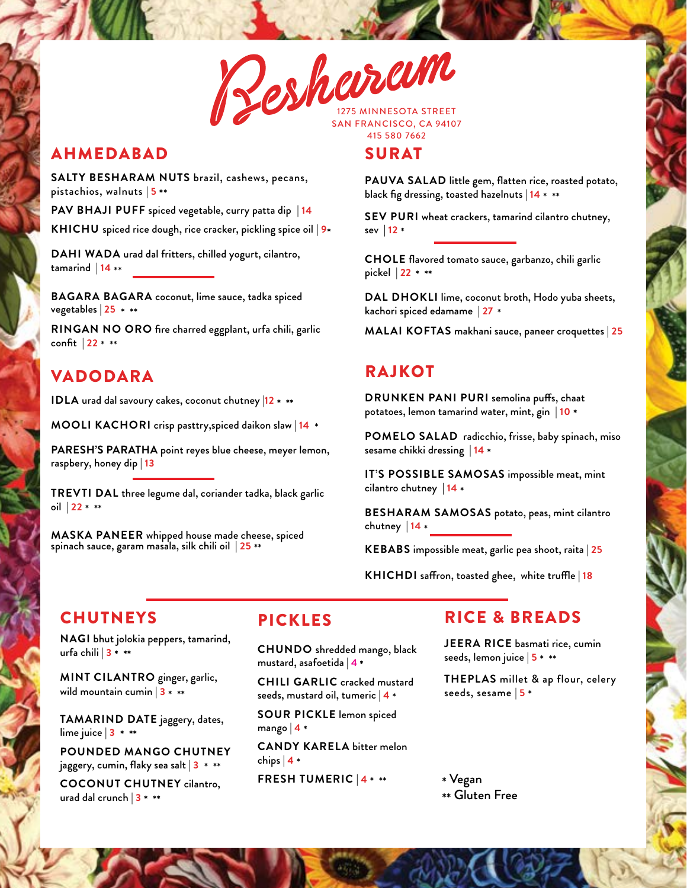

## AHMEDABAD

**SALTY BESHARAM NUTS** brazil, cashews, pecans, pistachios, walnuts | **5** \*\*

**PAV BHAJI PUFF** spiced vegetable, curry patta dip | **14 KHICHU** spiced rice dough, rice cracker, pickling spice oil | **9**\*

**DAHI WADA** urad dal fritters, chilled yogurt, cilantro, tamarind | **<sup>14</sup>** \*\*

**BAGARA BAGARA** coconut, lime sauce, tadka spiced vegetables | **<sup>25</sup>** \* \*\*

**RINGAN NO ORO** fire charred eggplant, urfa chili, garlic confit | **22** \* \*\*

## VADODARA

**IDLA** urad dal savoury cakes, coconut chutney |**<sup>12</sup>** \* \*\*

**MOOLI KACHORI** crisp pasttry,spiced daikon slaw | **14** \*

**PARESH'S PARATHA** point reyes blue cheese, meyer lemon, raspbery, honey dip | **13**

**TREVTI DAL** three legume dal, coriander tadka, black garlic oil | **22** \* \*\*

**MASKA PANEER** whipped house made cheese, spiced spinach sauce, garam masala, silk chili oil | **25** \*\*

# SURAT

**PAUVA SALAD** little gem, flatten rice, roasted potato, black fig dressing, toasted hazelnuts | **<sup>14</sup>** \* \*\*

**SEV PURI** wheat crackers, tamarind cilantro chutney, sev | **12** \*

**CHOLE** flavored tomato sauce, garbanzo, chili garlic pickel | **22** \* \*\*

**DAL DHOKLI** lime, coconut broth, Hodo yuba sheets, kachori spiced edamame | **27** \*

**MALAI KOFTAS** makhani sauce, paneer croquettes | **25**

### RAJKOT

**DRUNKEN PANI PURI** semolina puffs, chaat potatoes, lemon tamarind water, mint, gin | **10** \*

**POMELO SALAD** radicchio, frisse, baby spinach, miso sesame chikki dressing | **<sup>14</sup>** \*

**IT'S POSSIBLE SAMOSAS** impossible meat, mint cilantro chutney | **<sup>14</sup>** \*

**BESHARAM SAMOSAS** potato, peas, mint cilantro chutney  $|14 \cdot$ 

**KEBABS** impossible meat, garlic pea shoot, raita | **25**

**KHICHDI** saffron, toasted ghee, white truffle | **18**

### **CHUTNEYS**

**NAGI** bhut jolokia peppers, tamarind, urfa chili | **3** \* \*\*

**MINT CILANTRO** ginger, garlic, wild mountain cumin | **<sup>3</sup>** \* \*\*

**TAMARIND DATE** jaggery, dates, lime juice  $|3 \rangle$ \* \*\*

**POUNDED MANGO CHUTNEY** jaggery, cumin, flaky sea salt | **3** \* \*\*

**COCONUT CHUTNEY** cilantro, urad dal crunch | **3** \* \*\*

### PICKLES

**CHUNDO** shredded mango, black mustard, asafoetida | **4** \*

**CHILI GARLIC** cracked mustard seeds, mustard oil, tumeric | **4** \*

**SOUR PICKLE** lemon spiced mango | **4** \*

**CANDY KARELA** bitter melon chips | **4** \*

**FRESH TUMERIC** | **4** \* \*\*

### RICE & BREADS

**JEERA RICE** basmati rice, cumin seeds, lemon juice | **5** \* \*\*

**THEPLAS** millet & ap flour, celery seeds, sesame | **5** \*

\* Vegan \*\* Gluten Free